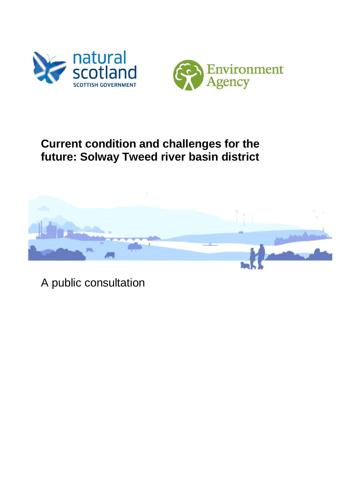



# **Current condition and challenges for the future: Solway Tweed river basin district**



A public consultation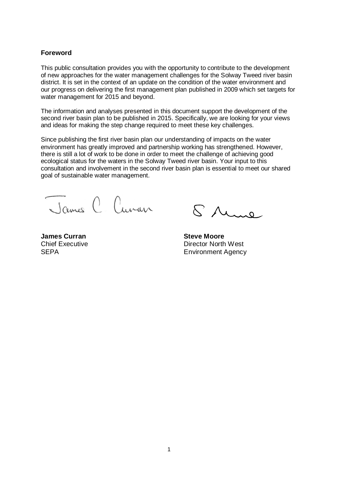#### **Foreword**

This public consultation provides you with the opportunity to contribute to the development of new approaches for the water management challenges for the Solway Tweed river basin district. It is set in the context of an update on the condition of the water environment and our progress on delivering the first management plan published in 2009 which set targets for water management for 2015 and beyond.

The information and analyses presented in this document support the development of the second river basin plan to be published in 2015. Specifically, we are looking for your views and ideas for making the step change required to meet these key challenges.

Since publishing the first river basin plan our understanding of impacts on the water environment has greatly improved and partnership working has strengthened. However, there is still a lot of work to be done in order to meet the challenge of achieving good ecological status for the waters in the Solway Tweed river basin. Your input to this consultation and involvement in the second river basin plan is essential to meet our shared goal of sustainable water management.

James C Cuvan

Chief Executive **SFPA** 

S Mune

**James Curran Curran Steve Moore**  Director North West Environment Agency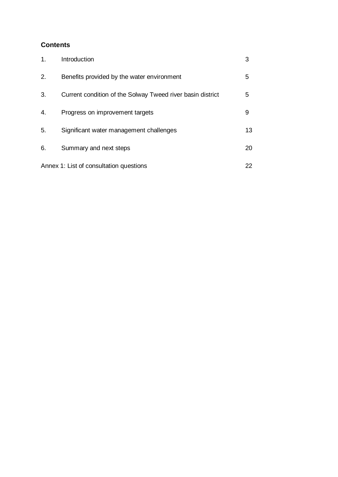# **Contents**

| 1. | Introduction                                               |    |
|----|------------------------------------------------------------|----|
| 2. | Benefits provided by the water environment                 | 5  |
| 3. | Current condition of the Solway Tweed river basin district | 5  |
| 4. | Progress on improvement targets                            | 9  |
| 5. | Significant water management challenges                    | 13 |
| 6. | Summary and next steps                                     | 20 |
|    | Annex 1: List of consultation questions                    | 22 |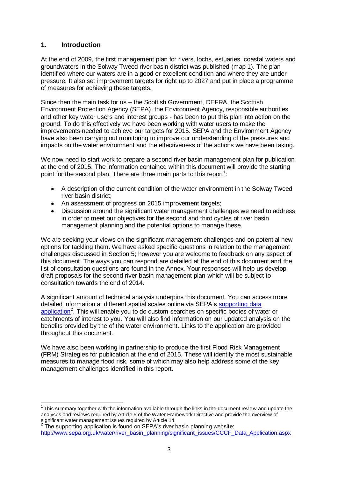# **1. Introduction**

At the end of 2009, the first management plan for rivers, lochs, estuaries, coastal waters and groundwaters in the Solway Tweed river basin district was published (map 1). The plan identified where our waters are in a good or excellent condition and where they are under pressure. It also set improvement targets for right up to 2027 and put in place a programme of measures for achieving these targets.

Since then the main task for us – the Scottish Government, DEFRA, the Scottish Environment Protection Agency (SEPA), the Environment Agency, responsible authorities and other key water users and interest groups - has been to put this plan into action on the ground. To do this effectively we have been working with water users to make the improvements needed to achieve our targets for 2015. SEPA and the Environment Agency have also been carrying out monitoring to improve our understanding of the pressures and impacts on the water environment and the effectiveness of the actions we have been taking.

We now need to start work to prepare a second river basin management plan for publication at the end of 2015. The information contained within this document will provide the starting point for the second plan. There are three main parts to this report<sup>1</sup>:

- A description of the current condition of the water environment in the Solway Tweed  $\bullet$ river basin district;
- $\bullet$ An assessment of progress on 2015 improvement targets;
- Discussion around the significant water management challenges we need to address in order to meet our objectives for the second and third cycles of river basin management planning and the potential options to manage these.

We are seeking your views on the significant management challenges and on potential new options for tackling them. We have asked specific questions in relation to the management challenges discussed in Section 5; however you are welcome to feedback on any aspect of this document. The ways you can respond are detailed at the end of this document and the list of consultation questions are found in the Annex. Your responses will help us develop draft proposals for the second river basin management plan which will be subject to consultation towards the end of 2014.

A significant amount of technical analysis underpins this document. You can access more detailed information at different spatial scales online via SEPA's [supporting data](http://www.sepa.org.uk/water/river_basin_planning/significant_issues/CCCF_Data_Application.aspx)  [application](http://www.sepa.org.uk/water/river_basin_planning/significant_issues/CCCF_Data_Application.aspx)<sup>2</sup>. This will enable you to do custom searches on specific bodies of water or catchments of interest to you. You will also find information on our updated analysis on the benefits provided by the of the water environment. Links to the application are provided throughout this document.

We have also been working in partnership to produce the first Flood Risk Management (FRM) Strategies for publication at the end of 2015. These will identify the most sustainable measures to manage flood risk, some of which may also help address some of the key management challenges identified in this report.

 1 This summary together with the information available through the links in the document review and update the analyses and reviews required by Article 5 of the Water Framework Directive and provide the overview of significant water management issues required by Article 14.<br><sup>2</sup> The quanorting application is found an SEDA's river.

The supporting application is found on SEPA's river basin planning website: [http://www.sepa.org.uk/water/river\\_basin\\_planning/significant\\_issues/CCCF\\_Data\\_Application.aspx](http://www.sepa.org.uk/water/river_basin_planning/significant_issues/CCCF_Data_Application.aspx)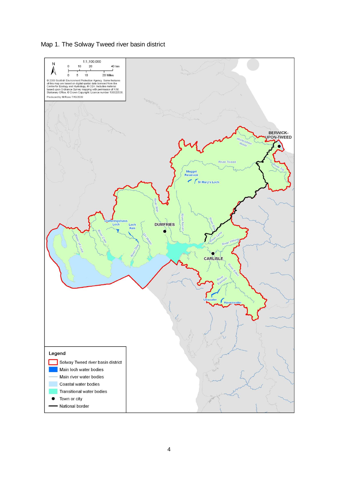Map 1. The Solway Tweed river basin district

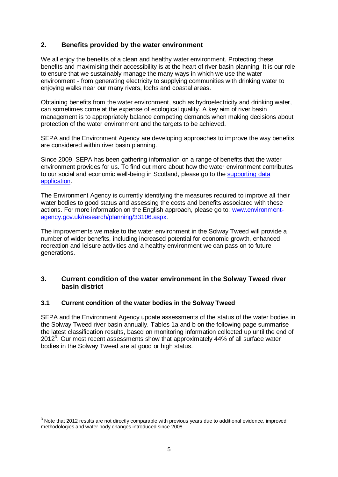# **2. Benefits provided by the water environment**

We all enjoy the benefits of a clean and healthy water environment. Protecting these benefits and maximising their accessibility is at the heart of river basin planning. It is our role to ensure that we sustainably manage the many ways in which we use the water environment - from generating electricity to supplying communities with drinking water to enjoying walks near our many rivers, lochs and coastal areas.

Obtaining benefits from the water environment, such as hydroelectricity and drinking water, can sometimes come at the expense of ecological quality. A key aim of river basin management is to appropriately balance competing demands when making decisions about protection of the water environment and the targets to be achieved.

SEPA and the Environment Agency are developing approaches to improve the way benefits are considered within river basin planning.

Since 2009, SEPA has been gathering information on a range of benefits that the water environment provides for us. To find out more about how the water environment contributes to our social and economic well-being in Scotland, please go to the [supporting data](http://www.sepa.org.uk/water/river_basin_planning/significant_issues/CCCF_Data_Application.aspx)  [application.](http://www.sepa.org.uk/water/river_basin_planning/significant_issues/CCCF_Data_Application.aspx)

The Environment Agency is currently identifying the measures required to improve all their water bodies to good status and assessing the costs and benefits associated with these actions. For more information on the English approach, please go to: [www.environment](http://www.environment-agency.gov.uk/research/planning/33106.aspx)[agency.gov.uk/research/planning/33106.aspx.](http://www.environment-agency.gov.uk/research/planning/33106.aspx)

The improvements we make to the water environment in the Solway Tweed will provide a number of wider benefits, including increased potential for economic growth, enhanced recreation and leisure activities and a healthy environment we can pass on to future generations.

#### **3. Current condition of the water environment in the Solway Tweed river basin district**

#### **3.1 Current condition of the water bodies in the Solway Tweed**

SEPA and the Environment Agency update assessments of the status of the water bodies in the Solway Tweed river basin annually. Tables 1a and b on the following page summarise the latest classification results, based on monitoring information collected up until the end of  $2012<sup>3</sup>$ . Our most recent assessments show that approximately 44% of all surface water bodies in the Solway Tweed are at good or high status.

 $\overline{a}$  $3$  Note that 2012 results are not directly comparable with previous years due to additional evidence, improved methodologies and water body changes introduced since 2008.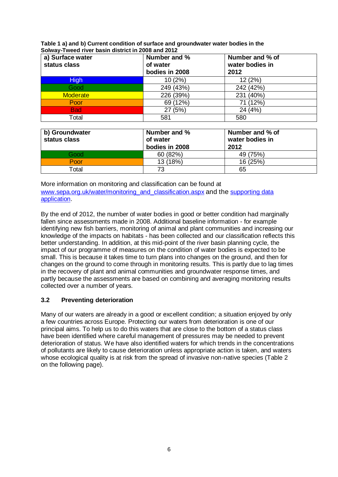| Table 1 a) and b) Current condition of surface and groundwater water bodies in the |
|------------------------------------------------------------------------------------|
| Solway-Tweed river basin district in 2008 and 2012                                 |

| a) Surface water<br>status class | Number and %<br>of water<br>bodies in 2008 | Number and % of<br>water bodies in<br>2012 |
|----------------------------------|--------------------------------------------|--------------------------------------------|
| <b>High</b>                      | 10(2%)                                     | 12(2%)                                     |
| Good                             | 249 (43%)                                  | 242 (42%)                                  |
| Moderate                         | 226 (39%)                                  | 231 (40%)                                  |
| Poor                             | 69 (12%)                                   | 71 (12%)                                   |
| <b>Bad</b>                       | 27(5%)                                     | 24 (4%)                                    |
| Total                            | 581                                        | 580                                        |

| b) Groundwater<br>status class | Number and %<br>of water<br>bodies in 2008 | Number and % of<br>water bodies in<br>2012 |
|--------------------------------|--------------------------------------------|--------------------------------------------|
| Good                           | 60 (82%)                                   | 49 (75%)                                   |
| Poor                           | 13 (18%)                                   | 16 (25%)                                   |
| Total                          | 73                                         | 65                                         |

More information on monitoring and classification can be found at [www.sepa.org.uk/water/monitoring\\_and\\_classification.aspx](http://www.sepa.org.uk/water/monitoring_and_classification.aspx) and the supporting data [application.](http://www.sepa.org.uk/water/river_basin_planning/significant_issues/CCCF_Data_Application.aspx)

By the end of 2012, the number of water bodies in good or better condition had marginally fallen since assessments made in 2008. Additional baseline information - for example identifying new fish barriers, monitoring of animal and plant communities and increasing our knowledge of the impacts on habitats - has been collected and our classification reflects this better understanding. In addition, at this mid-point of the river basin planning cycle, the impact of our programme of measures on the condition of water bodies is expected to be small. This is because it takes time to turn plans into changes on the ground, and then for changes on the ground to come through in monitoring results. This is partly due to lag times in the recovery of plant and animal communities and groundwater response times, and partly because the assessments are based on combining and averaging monitoring results collected over a number of years.

# **3.2 Preventing deterioration**

Many of our waters are already in a good or excellent condition; a situation enjoyed by only a few countries across Europe. Protecting our waters from deterioration is one of our principal aims. To help us to do this waters that are close to the bottom of a status class have been identified where careful management of pressures may be needed to prevent deterioration of status. We have also identified waters for which trends in the concentrations of pollutants are likely to cause deterioration unless appropriate action is taken, and waters whose ecological quality is at risk from the spread of invasive non-native species (Table 2 on the following page).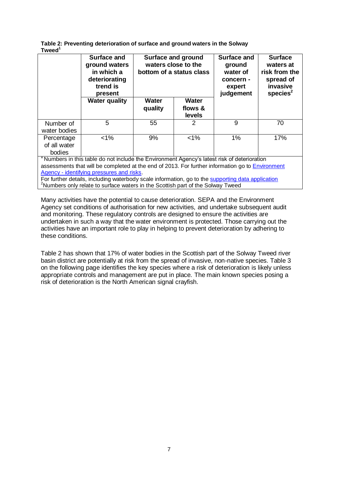| Table 2: Preventing deterioration of surface and ground waters in the Solway |  |
|------------------------------------------------------------------------------|--|
| Tweed <sup>1</sup>                                                           |  |

|                                                                                                                                                                                                | <b>Surface and</b><br>ground waters<br>in which a<br>deteriorating<br>trend is<br>present | <b>Surface and ground</b><br>waters close to the<br>bottom of a status class |                                   | <b>Surface and</b><br>ground<br>water of<br>concern -<br>expert<br>judgement | <b>Surface</b><br>waters at<br>risk from the<br>spread of<br>invasive<br>species $2$ |  |
|------------------------------------------------------------------------------------------------------------------------------------------------------------------------------------------------|-------------------------------------------------------------------------------------------|------------------------------------------------------------------------------|-----------------------------------|------------------------------------------------------------------------------|--------------------------------------------------------------------------------------|--|
|                                                                                                                                                                                                | <b>Water quality</b>                                                                      | Water<br>quality                                                             | <b>Water</b><br>flows &<br>levels |                                                                              |                                                                                      |  |
| Number of<br>water bodies                                                                                                                                                                      | 5                                                                                         | 55                                                                           | 2                                 | 9                                                                            | 70                                                                                   |  |
| Percentage<br>of all water<br>bodies                                                                                                                                                           | $< 1\%$                                                                                   | 9%                                                                           | $< 1\%$                           | $1\%$                                                                        | 17%                                                                                  |  |
| Numbers in this table do not include the Environment Agency's latest risk of deterioration<br>assessments that will be completed at the end of 2013. For further information go to Environment |                                                                                           |                                                                              |                                   |                                                                              |                                                                                      |  |

Agency - [identifying pressures and risks.](http://www.environment-agency.gov.uk/research/planning/33268.aspx)

For further details, including waterbody scale information, go to the [supporting data application](http://www.sepa.org.uk/water/river_basin_planning/significant_issues/CCCF_Data_Application.aspx) <sup>2</sup>Numbers only relate to surface waters in the Scottish part of the Solway Tweed

Many activities have the potential to cause deterioration. SEPA and the Environment Agency set conditions of authorisation for new activities, and undertake subsequent audit and monitoring. These regulatory controls are designed to ensure the activities are undertaken in such a way that the water environment is protected. Those carrying out the activities have an important role to play in helping to prevent deterioration by adhering to these conditions.

Table 2 has shown that 17% of water bodies in the Scottish part of the Solway Tweed river basin district are potentially at risk from the spread of invasive, non-native species. Table 3 on the following page identifies the key species where a risk of deterioration is likely unless appropriate controls and management are put in place. The main known species posing a risk of deterioration is the North American signal crayfish.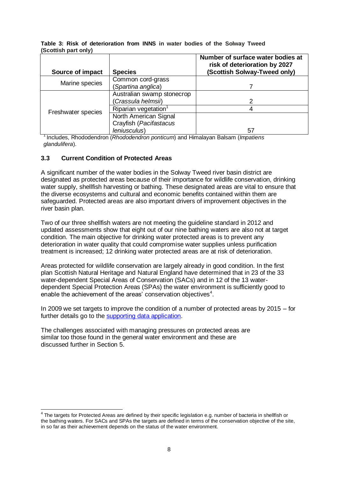| Source of impact   | <b>Species</b>                   | Number of surface water bodies at<br>risk of deterioration by 2027<br>(Scottish Solway-Tweed only) |
|--------------------|----------------------------------|----------------------------------------------------------------------------------------------------|
|                    | Common cord-grass                |                                                                                                    |
| Marine species     | (Spartina anglica)               |                                                                                                    |
|                    | Australian swamp stonecrop       |                                                                                                    |
|                    | (Crassula helmsii)               | 2                                                                                                  |
|                    | Riparian vegetation <sup>1</sup> |                                                                                                    |
| Freshwater species | North American Signal            |                                                                                                    |
|                    | Crayfish (Pacifastacus           |                                                                                                    |
|                    | leniusculus)                     | 57                                                                                                 |

**Table 3: Risk of deterioration from INNS in water bodies of the Solway Tweed (Scottish part only)**

<sup>1</sup>Includes, Rhododendron (*Rhododendron ponticum*) and Himalayan Balsam (*Impatiens glandulifera*).

# **3.3 Current Condition of Protected Areas**

A significant number of the water bodies in the Solway Tweed river basin district are designated as protected areas because of their importance for wildlife conservation, drinking water supply, shellfish harvesting or bathing. These designated areas are vital to ensure that the diverse ecosystems and cultural and economic benefits contained within them are safeguarded. Protected areas are also important drivers of improvement objectives in the river basin plan.

Two of our three shellfish waters are not meeting the guideline standard in 2012 and updated assessments show that eight out of our nine bathing waters are also not at target condition. The main objective for drinking water protected areas is to prevent any deterioration in water quality that could compromise water supplies unless purification treatment is increased; 12 drinking water protected areas are at risk of deterioration.

Areas protected for wildlife conservation are largely already in good condition. In the first plan Scottish Natural Heritage and Natural England have determined that in 23 of the 33 water-dependent Special Areas of Conservation (SACs) and in 12 of the 13 waterdependent Special Protection Areas (SPAs) the water environment is sufficiently good to enable the achievement of the areas' conservation objectives $4$ .

In 2009 we set targets to improve the condition of a number of protected areas by 2015 – for further details go to the [supporting data application.](http://www.sepa.org.uk/water/river_basin_planning/significant_issues/CCCF_Data_Application.aspx)

The challenges associated with managing pressures on protected areas are similar too those found in the general water environment and these are discussed further in Section 5.

 4 The targets for Protected Areas are defined by their specific legislation e.g. number of bacteria in shellfish or the bathing waters. For SACs and SPAs the targets are defined in terms of the conservation objective of the site, in so far as their achievement depends on the status of the water environment.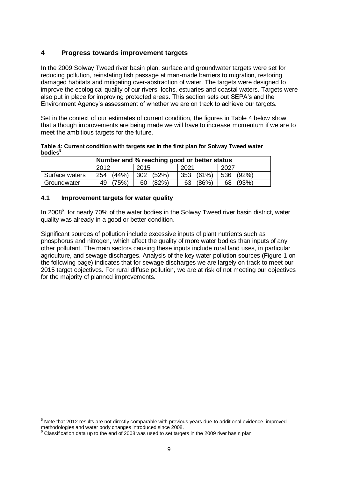# **4 Progress towards improvement targets**

In the 2009 Solway Tweed river basin plan, surface and groundwater targets were set for reducing pollution, reinstating fish passage at man-made barriers to migration, restoring damaged habitats and mitigating over-abstraction of water. The targets were designed to improve the ecological quality of our rivers, lochs, estuaries and coastal waters. Targets were also put in place for improving protected areas. This section sets out SEPA's and the Environment Agency's assessment of whether we are on track to achieve our targets.

Set in the context of our estimates of current condition, the figures in Table 4 below show that although improvements are being made we will have to increase momentum if we are to meet the ambitious targets for the future.

**Table 4: Current condition with targets set in the first plan for Solway Tweed water bodies<sup>5</sup>**

|                | Number and % reaching good or better status |             |              |           |
|----------------|---------------------------------------------|-------------|--------------|-----------|
|                | 2012                                        | 2015        | 2021         | 2027      |
| Surface waters | (44% )<br>254                               | 302 (52%)   | (61%)<br>353 | 536 (92%) |
| Groundwater    | 49 (75%)                                    | (82%)<br>60 | (86%)<br>63  | 68 (93%)  |

#### **4.1 Improvement targets for water quality**

In 2008<sup>6</sup>, for nearly 70% of the water bodies in the Solway Tweed river basin district, water quality was already in a good or better condition.

Significant sources of pollution include excessive inputs of plant nutrients such as phosphorus and nitrogen, which affect the quality of more water bodies than inputs of any other pollutant. The main sectors causing these inputs include rural land uses, in particular agriculture, and sewage discharges. Analysis of the key water pollution sources (Figure 1 on the following page) indicates that for sewage discharges we are largely on track to meet our 2015 target objectives. For rural diffuse pollution, we are at risk of not meeting our objectives for the majority of planned improvements.

  $5$  Note that 2012 results are not directly comparable with previous years due to additional evidence, improved methodologies and water body changes introduced since 2008.

Classification data up to the end of 2008 was used to set targets in the 2009 river basin plan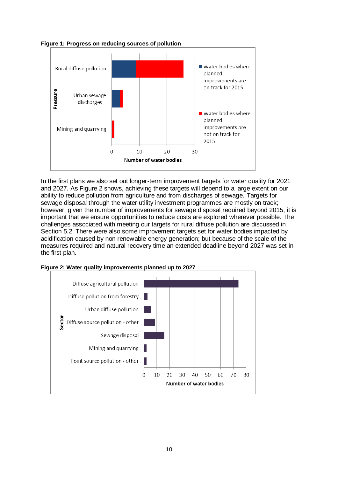



In the first plans we also set out longer-term improvement targets for water quality for 2021 and 2027. As Figure 2 shows, achieving these targets will depend to a large extent on our ability to reduce pollution from agriculture and from discharges of sewage. Targets for sewage disposal through the water utility investment programmes are mostly on track; however, given the number of improvements for sewage disposal required beyond 2015, it is important that we ensure opportunities to reduce costs are explored wherever possible. The challenges associated with meeting our targets for rural diffuse pollution are discussed in Section 5.2. There were also some improvement targets set for water bodies impacted by acidification caused by non renewable energy generation; but because of the scale of the measures required and natural recovery time an extended deadline beyond 2027 was set in the first plan.



**Figure 2: Water quality improvements planned up to 2027**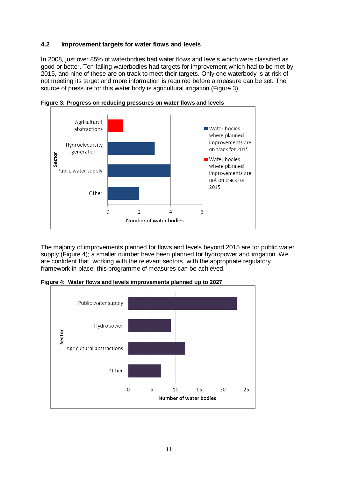#### **4.2 Improvement targets for water flows and levels**

In 2008, just over 85% of waterbodies had water flows and levels which were classified as good or better. Ten failing waterbodies had targets for improvement which had to be met by 2015, and nine of these are on track to meet their targets. Only one waterbody is at risk of not meeting its target and more information is required before a measure can be set. The source of pressure for this water body is agricultural irrigation (Figure 3).



**Figure 3: Progress on reducing pressures on water flows and levels** 

The majority of improvements planned for flows and levels beyond 2015 are for public water supply (Figure 4); a smaller number have been planned for hydropower and irrigation. We are confident that, working with the relevant sectors, with the appropriate regulatory framework in place, this programme of measures can be achieved.

**Figure 4: Water flows and levels improvements planned up to 2027**

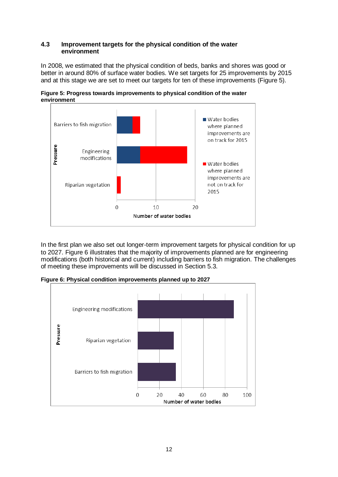#### **4.3 Improvement targets for the physical condition of the water environment**

In 2008, we estimated that the physical condition of beds, banks and shores was good or better in around 80% of surface water bodies. We set targets for 25 improvements by 2015 and at this stage we are set to meet our targets for ten of these improvements (Figure 5).



**Figure 5: Progress towards improvements to physical condition of the water environment**

In the first plan we also set out longer-term improvement targets for physical condition for up to 2027. Figure 6 illustrates that the majority of improvements planned are for engineering modifications (both historical and current) including barriers to fish migration. The challenges of meeting these improvements will be discussed in Section 5.3.

**Figure 6: Physical condition improvements planned up to 2027**

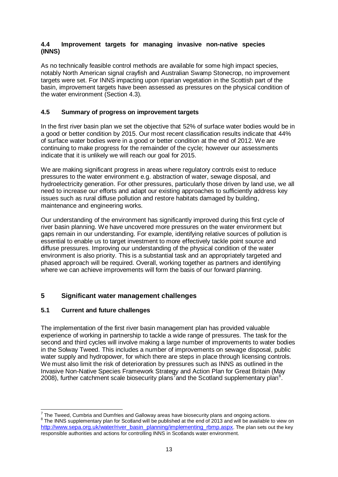#### **4.4 Improvement targets for managing invasive non-native species (INNS)**

As no technically feasible control methods are available for some high impact species, notably North American signal crayfish and Australian Swamp Stonecrop, no improvement targets were set. For INNS impacting upon riparian vegetation in the Scottish part of the basin, improvement targets have been assessed as pressures on the physical condition of the water environment (Section 4.3).

# **4.5 Summary of progress on improvement targets**

In the first river basin plan we set the objective that 52% of surface water bodies would be in a good or better condition by 2015. Our most recent classification results indicate that 44% of surface water bodies were in a good or better condition at the end of 2012. We are continuing to make progress for the remainder of the cycle; however our assessments indicate that it is unlikely we will reach our goal for 2015.

We are making significant progress in areas where regulatory controls exist to reduce pressures to the water environment e.g. abstraction of water, sewage disposal, and hydroelectricity generation. For other pressures, particularly those driven by land use, we all need to increase our efforts and adapt our existing approaches to sufficiently address key issues such as rural diffuse pollution and restore habitats damaged by building, maintenance and engineering works.

Our understanding of the environment has significantly improved during this first cycle of river basin planning. We have uncovered more pressures on the water environment but gaps remain in our understanding. For example, identifying relative sources of pollution is essential to enable us to target investment to more effectively tackle point source and diffuse pressures. Improving our understanding of the physical condition of the water environment is also priority. This is a substantial task and an appropriately targeted and phased approach will be required. Overall, working together as partners and identifying where we can achieve improvements will form the basis of our forward planning.

# **5 Significant water management challenges**

# **5.1 Current and future challenges**

The implementation of the first river basin management plan has provided valuable experience of working in partnership to tackle a wide range of pressures. The task for the second and third cycles will involve making a large number of improvements to water bodies in the Solway Tweed. This includes a number of improvements on sewage disposal, public water supply and hydropower, for which there are steps in place through licensing controls. We must also limit the risk of deterioration by pressures such as INNS as outlined in the Invasive Non-Native Species Framework Strategy and Action Plan for Great Britain (May 2008), further catchment scale biosecurity plans<sup>7</sup> and the Scotland supplementary plan<sup>8</sup>.

 7 The Tweed, Cumbria and Dumfries and Galloway areas have biosecurity plans and ongoing actions. <sup>8</sup> The INNS supplementary plan for Scotland will be published at the end of 2013 and will be available to view on [http://www.sepa.org.uk/water/river\\_basin\\_planning/implementing\\_rbmp.aspx](http://www.sepa.org.uk/water/river_basin_planning/implementing_rbmp.aspx). The plan sets out the key responsible authorities and actions for controlling INNS in Scotlands water environment.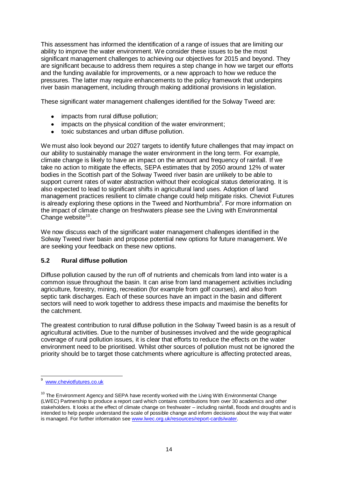This assessment has informed the identification of a range of issues that are limiting our ability to improve the water environment. We consider these issues to be the most significant management challenges to achieving our objectives for 2015 and beyond. They are significant because to address them requires a step change in how we target our efforts and the funding available for improvements, or a new approach to how we reduce the pressures. The latter may require enhancements to the policy framework that underpins river basin management, including through making additional provisions in legislation.

These significant water management challenges identified for the Solway Tweed are:

- impacts from rural diffuse pollution;  $\bullet$
- impacts on the physical condition of the water environment;  $\bullet$
- toxic substances and urban diffuse pollution.

We must also look beyond our 2027 targets to identify future challenges that may impact on our ability to sustainably manage the water environment in the long term. For example, climate change is likely to have an impact on the amount and frequency of rainfall. If we take no action to mitigate the effects, SEPA estimates that by 2050 around 12% of water bodies in the Scottish part of the Solway Tweed river basin are unlikely to be able to support current rates of water abstraction without their ecological status deteriorating. It is also expected to lead to significant shifts in agricultural land uses. Adoption of land management practices resilient to climate change could help mitigate risks. Cheviot Futures is already exploring these options in the Tweed and Northumbria<sup>9</sup>. For more information on the impact of climate change on freshwaters please see the Living with Environmental Change website $10$ .

We now discuss each of the significant water management challenges identified in the Solway Tweed river basin and propose potential new options for future management. We are seeking your feedback on these new options.

# **5.2 Rural diffuse pollution**

Diffuse pollution caused by the run off of nutrients and chemicals from land into water is a common issue throughout the basin. It can arise from land management activities including agriculture, forestry, mining, recreation (for example from golf courses), and also from septic tank discharges. Each of these sources have an impact in the basin and different sectors will need to work together to address these impacts and maximise the benefits for the catchment.

The greatest contribution to rural diffuse pollution in the Solway Tweed basin is as a result of agricultural activities. Due to the number of businesses involved and the wide geographical coverage of rural pollution issues, it is clear that efforts to reduce the effects on the water environment need to be prioritised. Whilst other sources of pollution must not be ignored the priority should be to target those catchments where agriculture is affecting protected areas,

 9 [www.cheviotfutures.co.uk](http://www.cheviotfutures.co.uk/)

 $10$  The Environment Agency and SEPA have recently worked with the Living With Environmental Change (LWEC) Partnership to produce a report card which contains contributions from over 30 academics and other stakeholders. It looks at the effect of climate change on freshwater – including rainfall, floods and droughts and is intended to help people understand the scale of possible change and inform decisions about the way that water is managed. For further information see [www.lwec.org.uk/resources/report-cards/water.](http://www.lwec.org.uk/resources/report-cards/water)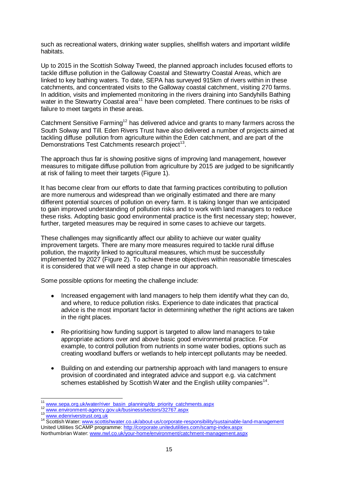such as recreational waters, drinking water supplies, shellfish waters and important wildlife habitats.

Up to 2015 in the Scottish Solway Tweed, the planned approach includes focused efforts to tackle diffuse pollution in the Galloway Coastal and Stewartry Coastal Areas, which are linked to key bathing waters. To date, SEPA has surveyed 915km of rivers within in these catchments, and concentrated visits to the Galloway coastal catchment, visiting 270 farms. In addition, visits and implemented monitoring in the rivers draining into Sandyhills Bathing water in the Stewartry Coastal area<sup>11</sup> have been completed. There continues to be risks of failure to meet targets in these areas.

Catchment Sensitive Farming<sup>12</sup> has delivered advice and grants to many farmers across the South Solway and Till. Eden Rivers Trust have also delivered a number of projects aimed at tackling diffuse pollution from agriculture within the Eden catchment, and are part of the Demonstrations Test Catchments research project<sup>13</sup>.

The approach thus far is showing positive signs of improving land management, however measures to mitigate diffuse pollution from agriculture by 2015 are judged to be significantly at risk of failing to meet their targets (Figure 1).

It has become clear from our efforts to date that farming practices contributing to pollution are more numerous and widespread than we originally estimated and there are many different potential sources of pollution on every farm. It is taking longer than we anticipated to gain improved understanding of pollution risks and to work with land managers to reduce these risks. Adopting basic good environmental practice is the first necessary step; however, further, targeted measures may be required in some cases to achieve our targets.

These challenges may significantly affect our ability to achieve our water quality improvement targets. There are many more measures required to tackle rural diffuse pollution, the majority linked to agricultural measures, which must be successfully implemented by 2027 (Figure 2). To achieve these objectives within reasonable timescales it is considered that we will need a step change in our approach.

Some possible options for meeting the challenge include:

- Increased engagement with land managers to help them identify what they can do,  $\bullet$ and where, to reduce pollution risks. Experience to date indicates that practical advice is the most important factor in determining whether the right actions are taken in the right places.
- Re-prioritising how funding support is targeted to allow land managers to take  $\bullet$ appropriate actions over and above basic good environmental practice. For example, to control pollution from nutrients in some water bodies, options such as creating woodland buffers or wetlands to help intercept pollutants may be needed.
- Building on and extending our partnership approach with land managers to ensure  $\bullet$ provision of coordinated and integrated advice and support e.g. via catchment schemes established by Scottish Water and the English utility companies<sup>14</sup>.

<sup>12</sup> [www.environment-agency.gov.uk/business/sectors/32767.aspx](http://www.environment-agency.gov.uk/business/sectors/32767.aspx)

 $\overline{\phantom{a}}$ <sup>11</sup> [www.sepa.org.uk/water/river\\_basin\\_planning/dp\\_priority\\_catchments.aspx](http://www.sepa.org.uk/water/river_basin_planning/dp_priority_catchments.aspx)

<sup>13</sup> [www.edenriverstrust.org.uk](http://trust.edenriverstrust.org.uk/)

<sup>14</sup> Scottish Water[: www.scottishwater.co.uk/about-us/corporate-responsibility/sustainable-land-management](http://www.scottishwater.co.uk/about-us/corporate-responsibility/sustainable-land-management) United Utilities SCAMP programme[: http://corporate.unitedutilities.com/scamp-index.aspx](http://corporate.unitedutilities.com/scamp-index.aspx) Northumbrian Water: [www.nwl.co.uk/your-home/environment/catchment-management.aspx](http://www.nwl.co.uk/your-home/environment/catchment-management.aspx)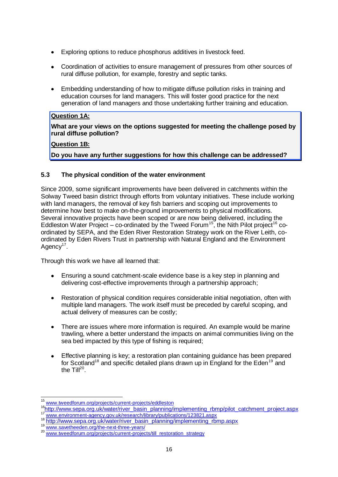- Exploring options to reduce phosphorus additives in livestock feed.  $\bullet$
- $\bullet$ Coordination of activities to ensure management of pressures from other sources of rural diffuse pollution, for example, forestry and septic tanks.
- Embedding understanding of how to mitigate diffuse pollution risks in training and  $\bullet$ education courses for land managers. This will foster good practice for the next generation of land managers and those undertaking further training and education.

#### **Question 1A:**

**What are your views on the options suggested for meeting the challenge posed by rural diffuse pollution?** 

#### **Question 1B:**

**Do you have any further suggestions for how this challenge can be addressed?**

#### **5.3 The physical condition of the water environment**

Since 2009, some significant improvements have been delivered in catchments within the Solway Tweed basin district through efforts from voluntary initiatives. These include working with land managers, the removal of key fish barriers and scoping out improvements to determine how best to make on-the-ground improvements to physical modifications. Several innovative projects have been scoped or are now being delivered, including the Eddleston Water Project – co-ordinated by the Tweed Forum<sup>15</sup>, the Nith Pilot project<sup>16</sup> coordinated by SEPA, and the Eden River Restoration Strategy work on the River Leith, coordinated by Eden Rivers Trust in partnership with Natural England and the Environment Agency<sup>17</sup>.

Through this work we have all learned that:

- Ensuring a sound catchment-scale evidence base is a key step in planning and  $\bullet$ delivering cost-effective improvements through a partnership approach;
- Restoration of physical condition requires considerable initial negotiation, often with  $\bullet$ multiple land managers. The work itself must be preceded by careful scoping, and actual delivery of measures can be costly;
- There are issues where more information is required. An example would be marine  $\bullet$ trawling, where a better understand the impacts on animal communities living on the sea bed impacted by this type of fishing is required;
- Effective planning is key; a restoration plan containing guidance has been prepared  $\bullet$ for Scotland<sup>18</sup> and specific detailed plans drawn up in England for the Eden<sup>19</sup> and the Till $^{20}$ .

 $\overline{\phantom{a}}$ <sup>15</sup> [www.tweedforum.org/projects/current-projects/eddleston](http://www.tweedforum.org/projects/current-projects/eddleston)

<sup>16</sup>[http://www.sepa.org.uk/water/river\\_basin\\_planning/implementing\\_rbmp/pilot\\_catchment\\_project.aspx](http://www.sepa.org.uk/water/river_basin_planning/implementing_rbmp/pilot_catchment_project.aspx) [www.environment-agency.gov.uk/research/library/publications/123821.aspx](http://www.environment-agency.gov.uk/research/library/publications/123821.aspx)

<sup>18</sup> [http://www.sepa.org.uk/water/river\\_basin\\_planning/implementing\\_rbmp.aspx](http://www.sepa.org.uk/water/river_basin_planning/implementing_rbmp.aspx)

<sup>19</sup> [www.savetheeden.org/the-next-three-years/](http://savetheeden.org/the-next-three-years/)

<sup>20</sup> www.savethecom.org/projects/current-projects/till\_restoration\_strategy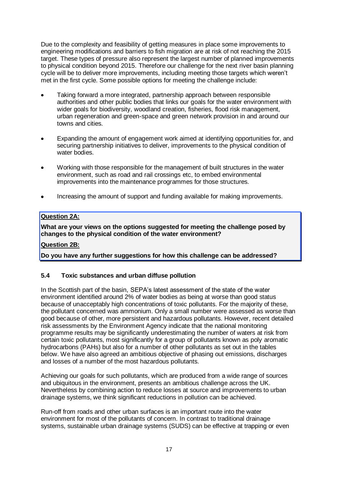Due to the complexity and feasibility of getting measures in place some improvements to engineering modifications and barriers to fish migration are at risk of not reaching the 2015 target. These types of pressure also represent the largest number of planned improvements to physical condition beyond 2015. Therefore our challenge for the next river basin planning cycle will be to deliver more improvements, including meeting those targets which weren't met in the first cycle. Some possible options for meeting the challenge include:

- Taking forward a more integrated, partnership approach between responsible authorities and other public bodies that links our goals for the water environment with wider goals for biodiversity, woodland creation, fisheries, flood risk management, urban regeneration and green-space and green network provision in and around our towns and cities.
- Expanding the amount of engagement work aimed at identifying opportunities for, and  $\bullet$ securing partnership initiatives to deliver, improvements to the physical condition of water bodies.
- Working with those responsible for the management of built structures in the water environment, such as road and rail crossings etc, to embed environmental improvements into the maintenance programmes for those structures.
- Increasing the amount of support and funding available for making improvements.  $\bullet$

# **Question 2A:**

**What are your views on the options suggested for meeting the challenge posed by changes to the physical condition of the water environment?** 

#### **Question 2B:**

**Do you have any further suggestions for how this challenge can be addressed?**

#### **5.4 Toxic substances and urban diffuse pollution**

In the Scottish part of the basin, SEPA's latest assessment of the state of the water environment identified around 2% of water bodies as being at worse than good status because of unacceptably high concentrations of toxic pollutants. For the majority of these, the pollutant concerned was ammonium. Only a small number were assessed as worse than good because of other, more persistent and hazardous pollutants. However, recent detailed risk assessments by the Environment Agency indicate that the national monitoring programme results may be significantly underestimating the number of waters at risk from certain toxic pollutants, most significantly for a group of pollutants known as poly aromatic hydrocarbons (PAHs) but also for a number of other pollutants as set out in the tables below. We have also agreed an ambitious objective of phasing out emissions, discharges and losses of a number of the most hazardous pollutants.

Achieving our goals for such pollutants, which are produced from a wide range of sources and ubiquitous in the environment, presents an ambitious challenge across the UK. Nevertheless by combining action to reduce losses at source and improvements to urban drainage systems, we think significant reductions in pollution can be achieved.

Run-off from roads and other urban surfaces is an important route into the water environment for most of the pollutants of concern. In contrast to traditional drainage systems, sustainable urban drainage systems (SUDS) can be effective at trapping or even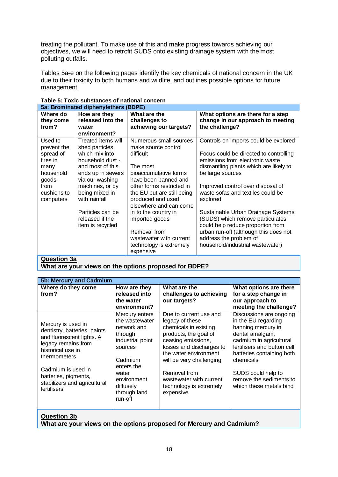treating the pollutant. To make use of this and make progress towards achieving our objectives, we will need to retrofit SUDS onto existing drainage system with the most polluting outfalls.

Tables 5a-e on the following pages identify the key chemicals of national concern in the UK due to their toxicity to both humans and wildlife, and outlines possible options for future management.

| 5a: Brominated diphenylethers (BDPE)                                                                                |                                                                                                                                                                                                                                                          |                                                                                                                                                                                                                                                                                                                                                   |                                                                                                                                                                                                                                                                                                                                                                                                                                                                                              |  |  |
|---------------------------------------------------------------------------------------------------------------------|----------------------------------------------------------------------------------------------------------------------------------------------------------------------------------------------------------------------------------------------------------|---------------------------------------------------------------------------------------------------------------------------------------------------------------------------------------------------------------------------------------------------------------------------------------------------------------------------------------------------|----------------------------------------------------------------------------------------------------------------------------------------------------------------------------------------------------------------------------------------------------------------------------------------------------------------------------------------------------------------------------------------------------------------------------------------------------------------------------------------------|--|--|
| Where do<br>they come<br>from?                                                                                      | How are they<br>released into the<br>water<br>environment?                                                                                                                                                                                               | What are the<br>challenges to<br>achieving our targets?                                                                                                                                                                                                                                                                                           | What options are there for a step<br>change in our approach to meeting<br>the challenge?                                                                                                                                                                                                                                                                                                                                                                                                     |  |  |
| Used to<br>prevent the<br>spread of<br>fires in<br>many<br>household<br>goods -<br>from<br>cushions to<br>computers | Treated items will<br>shed particles,<br>which mix into<br>household dust -<br>and most of this<br>ends up in sewers<br>via our washing<br>machines, or by<br>being mixed in<br>with rainfall<br>Particles can be<br>released if the<br>item is recycled | Numerous small sources<br>make source control<br>difficult<br>The most<br>bioaccumulative forms<br>have been banned and<br>other forms restricted in<br>the EU but are still being<br>produced and used<br>elsewhere and can come<br>in to the country in<br>imported goods<br>Removal from<br>wastewater with current<br>technology is extremely | Controls on imports could be explored<br>Focus could be directed to controlling<br>emissions from electronic waste<br>dismantling plants which are likely to<br>be large sources<br>Improved control over disposal of<br>waste sofas and textiles could be<br>explored<br>Sustainable Urban Drainage Systems<br>(SUDS) which remove particulates<br>could help reduce proportion from<br>urban run-off (although this does not<br>address the problem of<br>household/industrial wastewater) |  |  |
| <b>Question 3a</b>                                                                                                  |                                                                                                                                                                                                                                                          | expensive                                                                                                                                                                                                                                                                                                                                         |                                                                                                                                                                                                                                                                                                                                                                                                                                                                                              |  |  |

# **Table 5: Toxic substances of national concern**

**Question 3a**

**What are your views on the options proposed for BDPE?**

| <b>5b: Mercury and Cadmium</b>                                                                                                                                                                                                           |                                                                                                                                                                                    |                                                                                                                                                                                                                                                                                       |                                                                                                                                                                                                                                                                         |  |  |
|------------------------------------------------------------------------------------------------------------------------------------------------------------------------------------------------------------------------------------------|------------------------------------------------------------------------------------------------------------------------------------------------------------------------------------|---------------------------------------------------------------------------------------------------------------------------------------------------------------------------------------------------------------------------------------------------------------------------------------|-------------------------------------------------------------------------------------------------------------------------------------------------------------------------------------------------------------------------------------------------------------------------|--|--|
| Where do they come<br>from?                                                                                                                                                                                                              | How are they<br>released into<br>the water<br>environment?                                                                                                                         | What are the<br>challenges to achieving<br>our targets?                                                                                                                                                                                                                               | What options are there<br>for a step change in<br>our approach to<br>meeting the challenge?                                                                                                                                                                             |  |  |
| Mercury is used in<br>dentistry, batteries, paints<br>and fluorescent lights. A<br>legacy remains from<br>historical use in<br>thermometers<br>Cadmium is used in<br>batteries, pigments,<br>stabilizers and agricultural<br>fertilisers | Mercury enters<br>the wastewater<br>network and<br>through<br>industrial point<br>sources<br>Cadmium<br>enters the<br>water<br>environment<br>diffusely<br>through land<br>run-off | Due to current use and<br>legacy of these<br>chemicals in existing<br>products, the goal of<br>ceasing emissions,<br>losses and discharges to<br>the water environment<br>will be very challenging<br>Removal from<br>wastewater with current<br>technology is extremely<br>expensive | Discussions are ongoing<br>in the EU regarding<br>banning mercury in<br>dental amalgam,<br>cadmium in agricultural<br>fertilisers and button cell<br>batteries containing both<br>chemicals<br>SUDS could help to<br>remove the sediments to<br>which these metals bind |  |  |
|                                                                                                                                                                                                                                          |                                                                                                                                                                                    |                                                                                                                                                                                                                                                                                       |                                                                                                                                                                                                                                                                         |  |  |

**Question 3b**

**What are your views on the options proposed for Mercury and Cadmium?**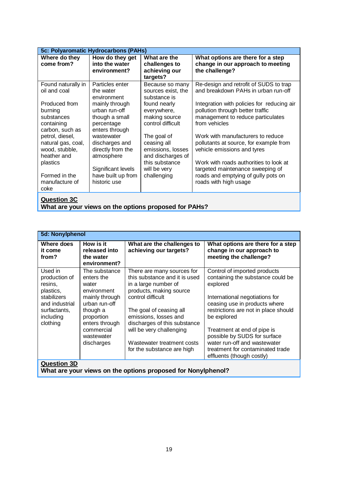| 5c: Polyaromatic Hydrocarbons (PAHs)                                        |                                                                                   |                                                                      |                                                                                                                                            |  |  |
|-----------------------------------------------------------------------------|-----------------------------------------------------------------------------------|----------------------------------------------------------------------|--------------------------------------------------------------------------------------------------------------------------------------------|--|--|
| Where do they<br>come from?                                                 | How do they get<br>into the water<br>environment?                                 | What are the<br>challenges to<br>achieving our<br>targets?           | What options are there for a step<br>change in our approach to meeting<br>the challenge?                                                   |  |  |
| Found naturally in<br>oil and coal                                          | Particles enter<br>the water<br>environment                                       | Because so many<br>sources exist, the<br>substance is                | Re-design and retrofit of SUDS to trap<br>and breakdown PAHs in urban run-off                                                              |  |  |
| Produced from<br>burning<br>substances<br>containing<br>carbon, such as     | mainly through<br>urban run-off<br>though a small<br>percentage<br>enters through | found nearly<br>everywhere,<br>making source<br>control difficult    | Integration with policies for reducing air<br>pollution through better traffic<br>management to reduce particulates<br>from vehicles       |  |  |
| petrol, diesel,<br>natural gas, coal,<br>wood, stubble,<br>heather and      | wastewater<br>discharges and<br>directly from the<br>atmosphere                   | The goal of<br>ceasing all<br>emissions, losses<br>and discharges of | Work with manufacturers to reduce<br>pollutants at source, for example from<br>vehicle emissions and tyres                                 |  |  |
| plastics<br>Formed in the<br>manufacture of<br>coke                         | Significant levels<br>have built up from<br>historic use                          | this substance<br>will be very<br>challenging                        | Work with roads authorities to look at<br>targeted maintenance sweeping of<br>roads and emptying of gully pots on<br>roads with high usage |  |  |
| <b>Question 3C</b><br>What are your views on the options proposed for PAHs? |                                                                                   |                                                                      |                                                                                                                                            |  |  |

| 5d: Nonylphenol                                                                                                            |                                                                                                                                                                              |                                                                                                                                                                                                                                                                                                                 |                                                                                                                                                                                                                                                                                                                                                                         |  |  |
|----------------------------------------------------------------------------------------------------------------------------|------------------------------------------------------------------------------------------------------------------------------------------------------------------------------|-----------------------------------------------------------------------------------------------------------------------------------------------------------------------------------------------------------------------------------------------------------------------------------------------------------------|-------------------------------------------------------------------------------------------------------------------------------------------------------------------------------------------------------------------------------------------------------------------------------------------------------------------------------------------------------------------------|--|--|
| Where does<br>it come<br>from?                                                                                             | How is it<br>released into<br>the water<br>environment?                                                                                                                      | What are the challenges to<br>achieving our targets?                                                                                                                                                                                                                                                            | What options are there for a step<br>change in our approach to<br>meeting the challenge?                                                                                                                                                                                                                                                                                |  |  |
| Used in<br>production of<br>resins,<br>plastics,<br>stabilizers<br>and industrial<br>surfactants,<br>including<br>clothing | The substance<br>enters the<br>water<br>environment<br>mainly through<br>urban run-off<br>though a<br>proportion<br>enters through<br>commercial<br>wastewater<br>discharges | There are many sources for<br>this substance and it is used<br>in a large number of<br>products, making source<br>control difficult<br>The goal of ceasing all<br>emissions, losses and<br>discharges of this substance<br>will be very challenging<br>Wastewater treatment costs<br>for the substance are high | Control of imported products<br>containing the substance could be<br>explored<br>International negotiations for<br>ceasing use in products where<br>restrictions are not in place should<br>be explored<br>Treatment at end of pipe is<br>possible by SUDS for surface<br>water run-off and wastewater<br>treatment for contaminated trade<br>effluents (though costly) |  |  |
| <b>Question 3D</b><br>What are your views on the options proposed for Nonylphenol?                                         |                                                                                                                                                                              |                                                                                                                                                                                                                                                                                                                 |                                                                                                                                                                                                                                                                                                                                                                         |  |  |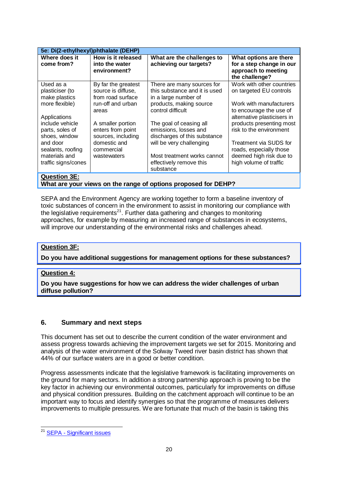| 5e: Di(2-ethylhexyl)phthalate (DEHP)                |                                                                |                                                                                     |                                                                                             |
|-----------------------------------------------------|----------------------------------------------------------------|-------------------------------------------------------------------------------------|---------------------------------------------------------------------------------------------|
| Where does it<br>come from?                         | How is it released<br>into the water<br>environment?           | What are the challenges to<br>achieving our targets?                                | What options are there<br>for a step change in our<br>approach to meeting<br>the challenge? |
| Used as a<br>plasticiser (to<br>make plastics       | By far the greatest<br>source is diffuse,<br>from road surface | There are many sources for<br>this substance and it is used<br>in a large number of | Work with other countries<br>on targeted EU controls                                        |
| more flexible)<br>Applications                      | run-off and urban<br>areas                                     | products, making source<br>control difficult                                        | Work with manufacturers<br>to encourage the use of<br>alternative plasticisers in           |
| include vehicle<br>parts, soles of<br>shoes, window | A smaller portion<br>enters from point<br>sources, including   | The goal of ceasing all<br>emissions, losses and<br>discharges of this substance    | products presenting most<br>risk to the environment                                         |
| and door<br>sealants, roofing                       | domestic and<br>commercial                                     | will be very challenging                                                            | Treatment via SUDS for<br>roads, especially those                                           |
| materials and<br>traffic signs/cones                | wastewaters                                                    | Most treatment works cannot<br>effectively remove this<br>substance                 | deemed high risk due to<br>high volume of traffic                                           |
| <b>Question 3E:</b>                                 |                                                                |                                                                                     |                                                                                             |

**What are your views on the range of options proposed for DEHP?**

SEPA and the Environment Agency are working together to form a baseline inventory of toxic substances of concern in the environment to assist in monitoring our compliance with the legislative requirements<sup>21</sup>. Further data gathering and changes to monitoring approaches, for example by measuring an increased range of substances in ecosystems, will improve our understanding of the environmental risks and challenges ahead.

# **Question 3F:**

**Do you have additional suggestions for management options for these substances?**

#### **Question 4:**

**Do you have suggestions for how we can address the wider challenges of urban diffuse pollution?**

# **6. Summary and next steps**

This document has set out to describe the current condition of the water environment and assess progress towards achieving the improvement targets we set for 2015. Monitoring and analysis of the water environment of the Solway Tweed river basin district has shown that 44% of our surface waters are in a good or better condition.

Progress assessments indicate that the legislative framework is facilitating improvements on the ground for many sectors. In addition a strong partnership approach is proving to be the key factor in achieving our environmental outcomes, particularly for improvements on diffuse and physical condition pressures. Building on the catchment approach will continue to be an important way to focus and identify synergies so that the programme of measures delivers improvements to multiple pressures. We are fortunate that much of the basin is taking this

 $\overline{a}$ <sup>21</sup> SEPA - [Significant issues](http://www.sepa.org.uk/water/river_basin_planning/significant_issues.aspx)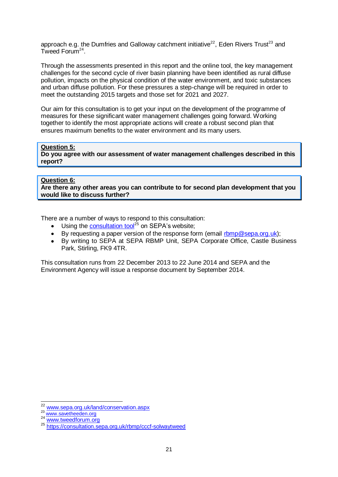approach e.g. the Dumfries and Galloway catchment initiative<sup>22</sup>, Eden Rivers Trust<sup>23</sup> and Tweed Forum<sup>24</sup>.

Through the assessments presented in this report and the online tool, the key management challenges for the second cycle of river basin planning have been identified as rural diffuse pollution, impacts on the physical condition of the water environment, and toxic substances and urban diffuse pollution. For these pressures a step-change will be required in order to meet the outstanding 2015 targets and those set for 2021 and 2027.

Our aim for this consultation is to get your input on the development of the programme of measures for these significant water management challenges going forward. Working together to identify the most appropriate actions will create a robust second plan that ensures maximum benefits to the water environment and its many users.

#### **Question 5:**

**Do you agree with our assessment of water management challenges described in this report?**

#### **Question 6:**

**Are there any other areas you can contribute to for second plan development that you would like to discuss further?**

There are a number of ways to respond to this consultation:

- Using the **[consultation tool](https://consultation.sepa.org.uk/rbmp/cccf-solwaytweed)**<sup>25</sup> on SEPA's website;
- By requesting a paper version of the response form (email [rbmp@sepa.org.uk\)](mailto:rbmp@sepa.org.uk);
- $\bullet$ By writing to SEPA at SEPA RBMP Unit, SEPA Corporate Office, Castle Business Park, Stirling, FK9 4TR.

This consultation runs from 22 December 2013 to 22 June 2014 and SEPA and the Environment Agency will issue a response document by September 2014.

 $\overline{a}$ <sup>22</sup> [www.sepa.org.uk/land/conservation.aspx](http://www.sepa.org.uk/land/conservation.aspx)

<sup>23</sup> [www.savetheeden.org](http://www.savetheeden.org/)

<sup>24</sup> [www.tweedforum.org](http://www.tweedforum.org/)

<sup>25</sup> <https://consultation.sepa.org.uk/rbmp/cccf-solwaytweed>